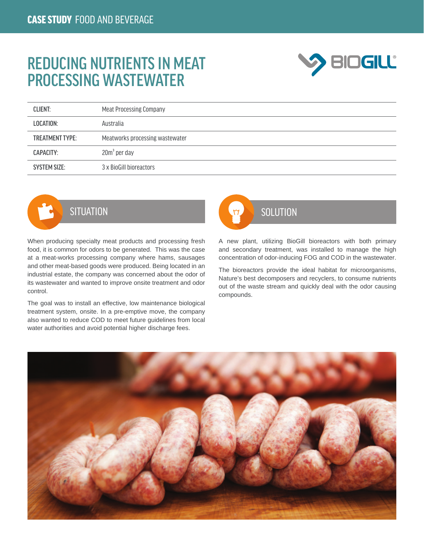## REDUCING NUTRIENTS IN MEAT PROCESSING WASTEWATER



| <b>CLIENT:</b>         | <b>Meat Processing Company</b>  |  |
|------------------------|---------------------------------|--|
| LOCATION:              | Australia                       |  |
| <b>TREATMENT TYPE:</b> | Meatworks processing wastewater |  |
| CAPACITY:              | $20m3$ per day                  |  |
| <b>SYSTEM SIZE:</b>    | 3 x BioGill bioreactors         |  |



When producing specialty meat products and processing fresh food, it is common for odors to be generated. This was the case at a meat-works processing company where hams, sausages and other meat-based goods were produced. Being located in an industrial estate, the company was concerned about the odor of its wastewater and wanted to improve onsite treatment and odor control.

The goal was to install an effective, low maintenance biological treatment system, onsite. In a pre-emptive move, the company also wanted to reduce COD to meet future guidelines from local water authorities and avoid potential higher discharge fees.



A new plant, utilizing BioGill bioreactors with both primary and secondary treatment, was installed to manage the high concentration of odor-inducing FOG and COD in the wastewater.

The bioreactors provide the ideal habitat for microorganisms, Nature's best decomposers and recyclers, to consume nutrients out of the waste stream and quickly deal with the odor causing compounds.